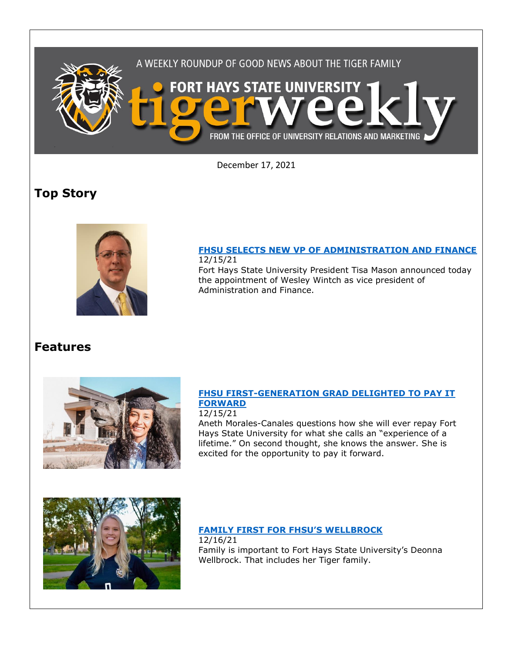

December 17, 2021

# **Top Story**



#### **[FHSU SELECTS NEW VP OF ADMINISTRATION AND FINANCE](https://fhsu.edu/news/2021/12/fhsu-selects-new-vp-of-administration-and-finance)** 12/15/21

Fort Hays State University President Tisa Mason announced today the appointment of Wesley Wintch as vice president of Administration and Finance.

## **Features**



### **[FHSU FIRST-GENERATION GRAD DELIGHTED TO PAY IT](https://at.fhsu.edu/canales-blog)  [FORWARD](https://at.fhsu.edu/canales-blog)**

12/15/21

Aneth Morales-Canales questions how she will ever repay Fort Hays State University for what she calls an "experience of a lifetime." On second thought, she knows the answer. She is excited for the opportunity to pay it forward.



## **[FAMILY FIRST FOR FHSU'S](https://at.fhsu.edu/wellbrock-blog) WELLBROCK** 12/16/21

Family is important to Fort Hays State University's Deonna Wellbrock. That includes her Tiger family.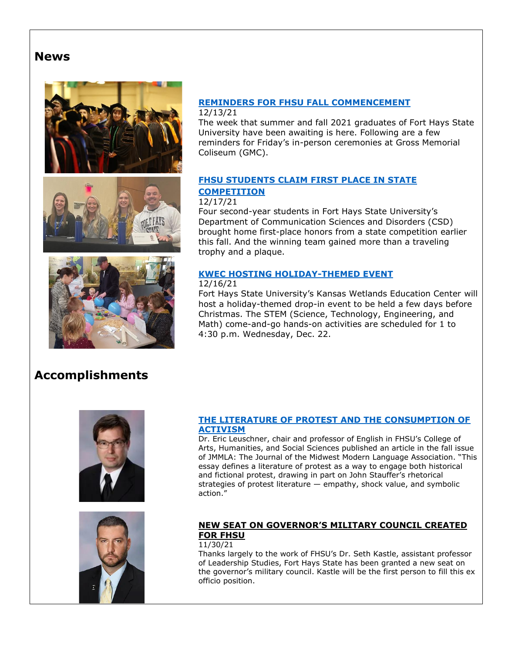## **News**







#### **[REMINDERS FOR FHSU FALL COMMENCEMENT](https://www.fhsu.edu/news/2021/12/reminders-for-fhsu-fall-commencement)** 12/13/21

The week that summer and fall 2021 graduates of Fort Hays State University have been awaiting is here. Following are a few reminders for Friday's in-person ceremonies at Gross Memorial Coliseum (GMC).

### **[FHSU STUDENTS](https://www.fhsu.edu/news/2021/12/fhsu-students-claim-first-place-in-state-competition) CLAIM FIRST PLACE IN STATE [COMPETITION](https://www.fhsu.edu/news/2021/12/fhsu-students-claim-first-place-in-state-competition)**

### 12/17/21

Four second-year students in Fort Hays State University's Department of Communication Sciences and Disorders (CSD) brought home first-place honors from a state competition earlier this fall. And the winning team gained more than a traveling trophy and a plaque.

### **[KWEC HOSTING HOLIDAY-THEMED EVENT](https://fhsu.edu/news/2021/12/kwec-hosting-holiday-themed-event)**

### 12/16/21

Fort Hays State University's Kansas Wetlands Education Center will host a holiday-themed drop-in event to be held a few days before Christmas. The STEM (Science, Technology, Engineering, and Math) come-and-go hands-on activities are scheduled for 1 to 4:30 p.m. Wednesday, Dec. 22.

# **Accomplishments**





### **[THE LITERATURE OF PROTEST AND THE CONSUMPTION OF](https://www.luc.edu/mmla/)  [ACTIVISM](https://www.luc.edu/mmla/)**

Dr. Eric Leuschner, chair and professor of English in FHSU's College of Arts, Humanities, and Social Sciences published an article in the fall issue of JMMLA: The Journal of the Midwest Modern Language Association. "This essay defines a literature of protest as a way to engage both historical and fictional protest, drawing in part on John Stauffer's rhetorical strategies of protest literature — empathy, shock value, and symbolic action."

### **NEW SEAT ON GOVERNOR'S MILITARY COUNCIL CREATED FOR FHSU**

### 11/30/21

Thanks largely to the work of FHSU's Dr. Seth Kastle, assistant professor of Leadership Studies, Fort Hays State has been granted a new seat on the governor's military council. Kastle will be the first person to fill this ex officio position.